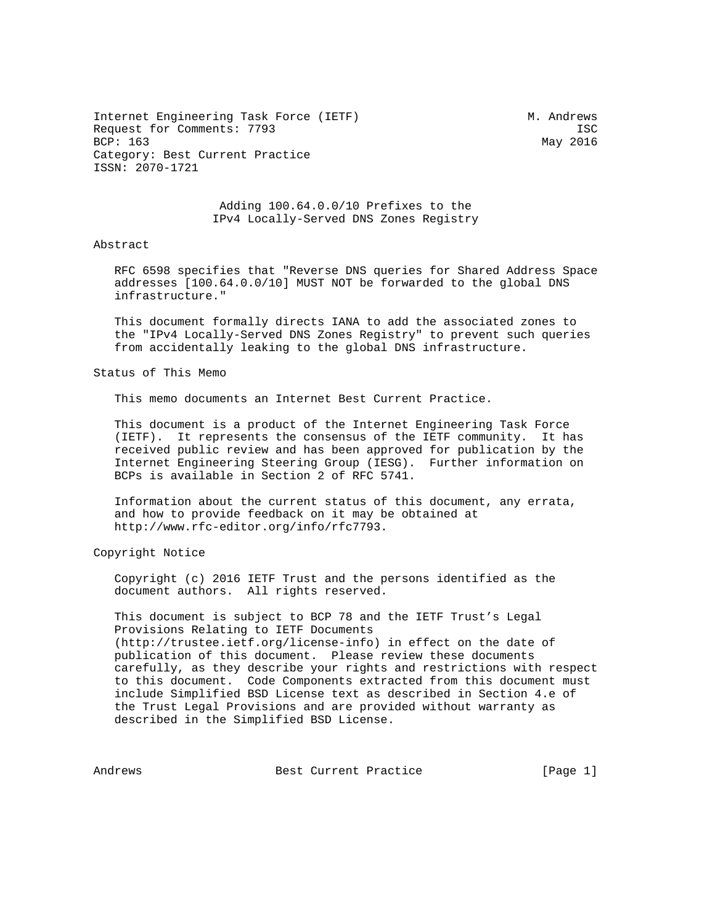Internet Engineering Task Force (IETF) M. Andrews Request for Comments: 7793 ISC<br>BCP: 163 May 2016 Category: Best Current Practice ISSN: 2070-1721

May 2016

 Adding 100.64.0.0/10 Prefixes to the IPv4 Locally-Served DNS Zones Registry

## Abstract

 RFC 6598 specifies that "Reverse DNS queries for Shared Address Space addresses [100.64.0.0/10] MUST NOT be forwarded to the global DNS infrastructure."

 This document formally directs IANA to add the associated zones to the "IPv4 Locally-Served DNS Zones Registry" to prevent such queries from accidentally leaking to the global DNS infrastructure.

Status of This Memo

This memo documents an Internet Best Current Practice.

 This document is a product of the Internet Engineering Task Force (IETF). It represents the consensus of the IETF community. It has received public review and has been approved for publication by the Internet Engineering Steering Group (IESG). Further information on BCPs is available in Section 2 of RFC 5741.

 Information about the current status of this document, any errata, and how to provide feedback on it may be obtained at http://www.rfc-editor.org/info/rfc7793.

Copyright Notice

 Copyright (c) 2016 IETF Trust and the persons identified as the document authors. All rights reserved.

 This document is subject to BCP 78 and the IETF Trust's Legal Provisions Relating to IETF Documents (http://trustee.ietf.org/license-info) in effect on the date of publication of this document. Please review these documents carefully, as they describe your rights and restrictions with respect to this document. Code Components extracted from this document must include Simplified BSD License text as described in Section 4.e of the Trust Legal Provisions and are provided without warranty as described in the Simplified BSD License.

Andrews **Best Current Practice** [Page 1]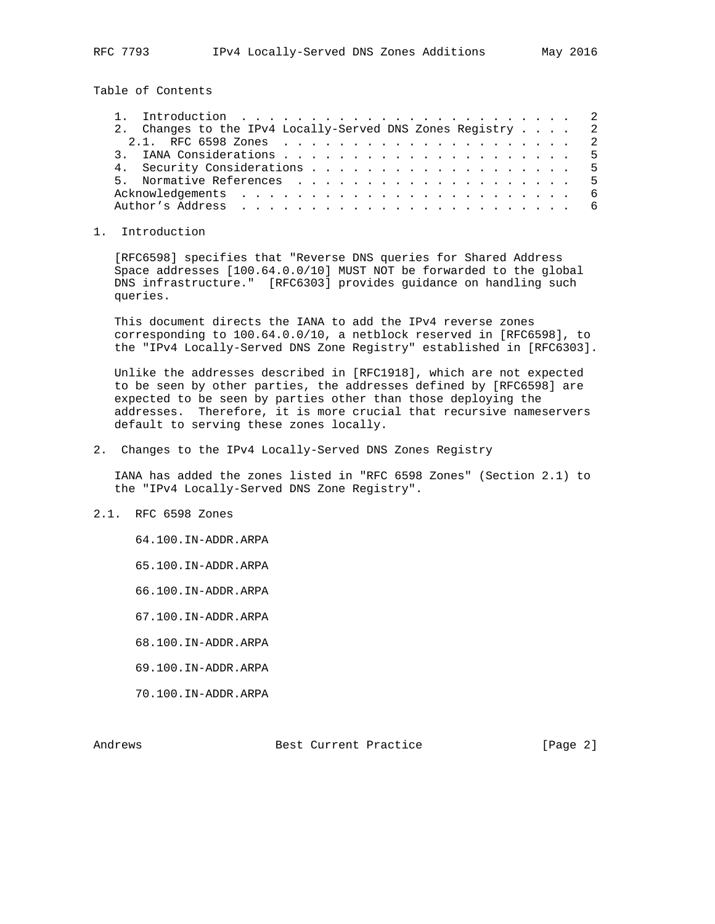Table of Contents

| 2. Changes to the IPv4 Locally-Served DNS Zones Registry 2 |  |
|------------------------------------------------------------|--|
|                                                            |  |
|                                                            |  |
| 4. Security Considerations 5                               |  |
|                                                            |  |
|                                                            |  |
|                                                            |  |

## 1. Introduction

 [RFC6598] specifies that "Reverse DNS queries for Shared Address Space addresses [100.64.0.0/10] MUST NOT be forwarded to the global DNS infrastructure." [RFC6303] provides guidance on handling such queries.

 This document directs the IANA to add the IPv4 reverse zones corresponding to 100.64.0.0/10, a netblock reserved in [RFC6598], to the "IPv4 Locally-Served DNS Zone Registry" established in [RFC6303].

 Unlike the addresses described in [RFC1918], which are not expected to be seen by other parties, the addresses defined by [RFC6598] are expected to be seen by parties other than those deploying the addresses. Therefore, it is more crucial that recursive nameservers default to serving these zones locally.

2. Changes to the IPv4 Locally-Served DNS Zones Registry

 IANA has added the zones listed in "RFC 6598 Zones" (Section 2.1) to the "IPv4 Locally-Served DNS Zone Registry".

## 2.1. RFC 6598 Zones

- 64.100.IN-ADDR.ARPA
- 65.100.IN-ADDR.ARPA
- 66.100.IN-ADDR.ARPA
- 67.100.IN-ADDR.ARPA
- 68.100.IN-ADDR.ARPA
- 69.100.IN-ADDR.ARPA
- 70.100.IN-ADDR.ARPA

Andrews Best Current Practice [Page 2]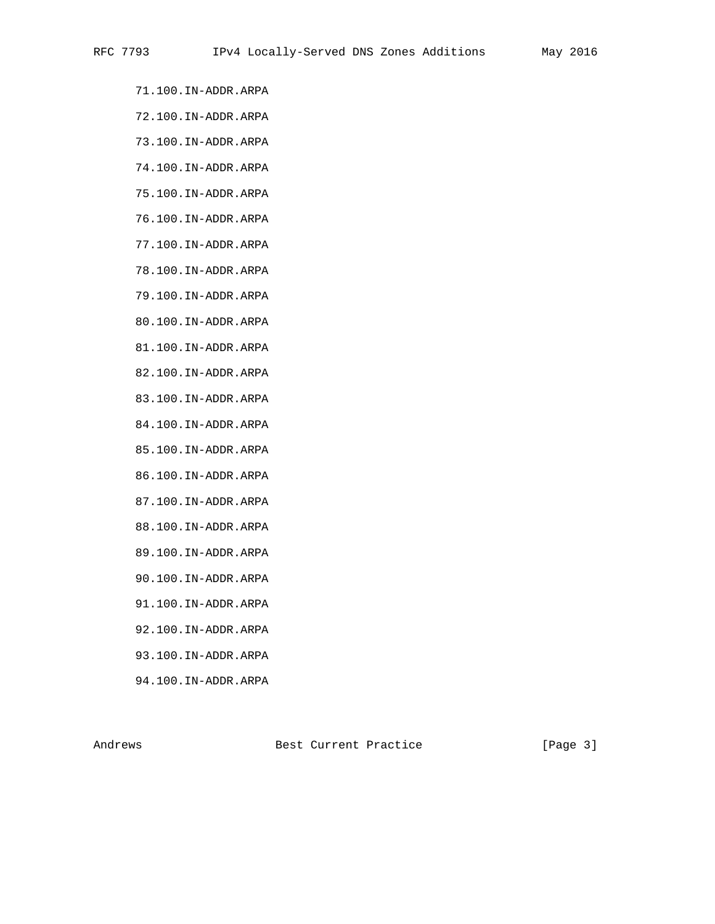- 71.100.IN-ADDR.ARPA
- 72.100.IN-ADDR.ARPA
- 73.100.IN-ADDR.ARPA
- 74.100.IN-ADDR.ARPA
- 75.100.IN-ADDR.ARPA
- 76.100.IN-ADDR.ARPA
- 77.100.IN-ADDR.ARPA
- 78.100.IN-ADDR.ARPA
- 79.100.IN-ADDR.ARPA
- 80.100.IN-ADDR.ARPA
- 81.100.IN-ADDR.ARPA
- 82.100.IN-ADDR.ARPA
- 83.100.IN-ADDR.ARPA
- 84.100.IN-ADDR.ARPA
- 85.100.IN-ADDR.ARPA
- 86.100.IN-ADDR.ARPA
- 87.100.IN-ADDR.ARPA
- 88.100.IN-ADDR.ARPA
- 89.100.IN-ADDR.ARPA
- 90.100.IN-ADDR.ARPA
- 91.100.IN-ADDR.ARPA
- 92.100.IN-ADDR.ARPA
- 93.100.IN-ADDR.ARPA
- 94.100.IN-ADDR.ARPA

Andrews Best Current Practice [Page 3]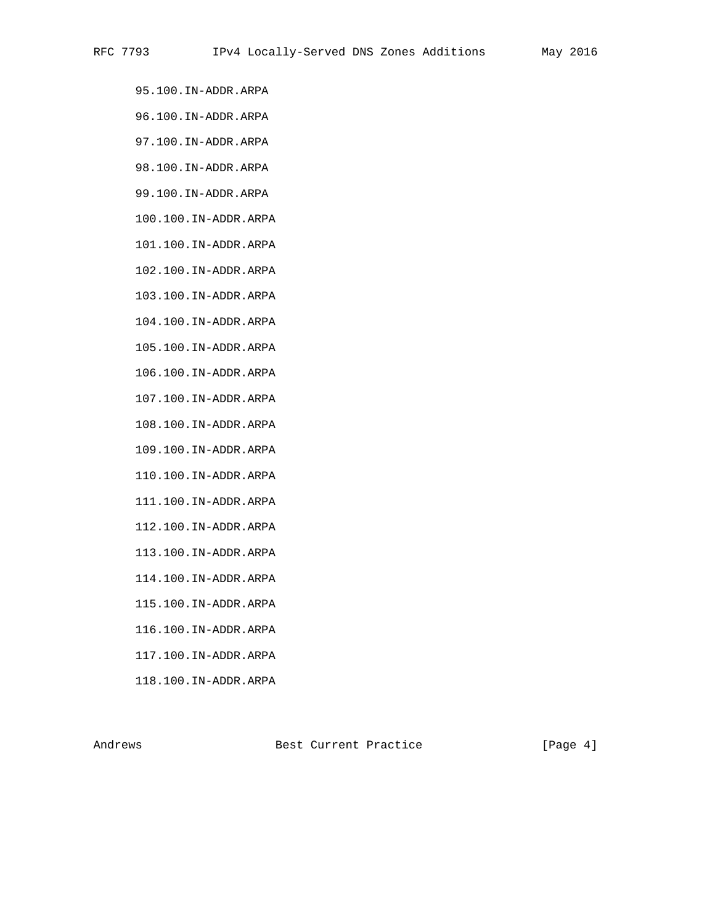- 95.100.IN-ADDR.ARPA
- 96.100.IN-ADDR.ARPA
- 97.100.IN-ADDR.ARPA
- 98.100.IN-ADDR.ARPA
- 99.100.IN-ADDR.ARPA
- 100.100.IN-ADDR.ARPA
- 101.100.IN-ADDR.ARPA
- 102.100.IN-ADDR.ARPA
- 103.100.IN-ADDR.ARPA
- 104.100.IN-ADDR.ARPA
- 105.100.IN-ADDR.ARPA
- 106.100.IN-ADDR.ARPA
- 107.100.IN-ADDR.ARPA
- 108.100.IN-ADDR.ARPA
- 109.100.IN-ADDR.ARPA
- 110.100.IN-ADDR.ARPA
- 111.100.IN-ADDR.ARPA
- 112.100.IN-ADDR.ARPA
- 113.100.IN-ADDR.ARPA
- 114.100.IN-ADDR.ARPA
- 115.100.IN-ADDR.ARPA
- 116.100.IN-ADDR.ARPA
- 117.100.IN-ADDR.ARPA
- 118.100.IN-ADDR.ARPA

Andrews Best Current Practice [Page 4]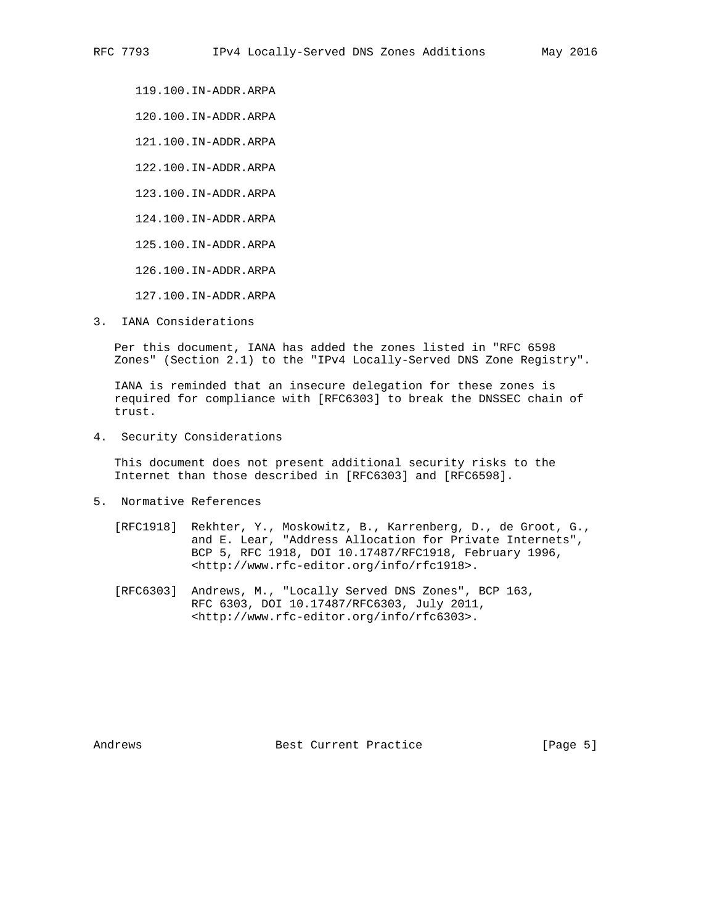119.100.IN-ADDR.ARPA

120.100.IN-ADDR.ARPA

121.100.IN-ADDR.ARPA

122.100.IN-ADDR.ARPA

123.100.IN-ADDR.ARPA

124.100.IN-ADDR.ARPA

125.100.IN-ADDR.ARPA

126.100.IN-ADDR.ARPA

127.100.IN-ADDR.ARPA

3. IANA Considerations

 Per this document, IANA has added the zones listed in "RFC 6598 Zones" (Section 2.1) to the "IPv4 Locally-Served DNS Zone Registry".

 IANA is reminded that an insecure delegation for these zones is required for compliance with [RFC6303] to break the DNSSEC chain of trust.

4. Security Considerations

 This document does not present additional security risks to the Internet than those described in [RFC6303] and [RFC6598].

- 5. Normative References
	- [RFC1918] Rekhter, Y., Moskowitz, B., Karrenberg, D., de Groot, G., and E. Lear, "Address Allocation for Private Internets", BCP 5, RFC 1918, DOI 10.17487/RFC1918, February 1996, <http://www.rfc-editor.org/info/rfc1918>.
	- [RFC6303] Andrews, M., "Locally Served DNS Zones", BCP 163, RFC 6303, DOI 10.17487/RFC6303, July 2011, <http://www.rfc-editor.org/info/rfc6303>.

Andrews **Best Current Practice** [Page 5]